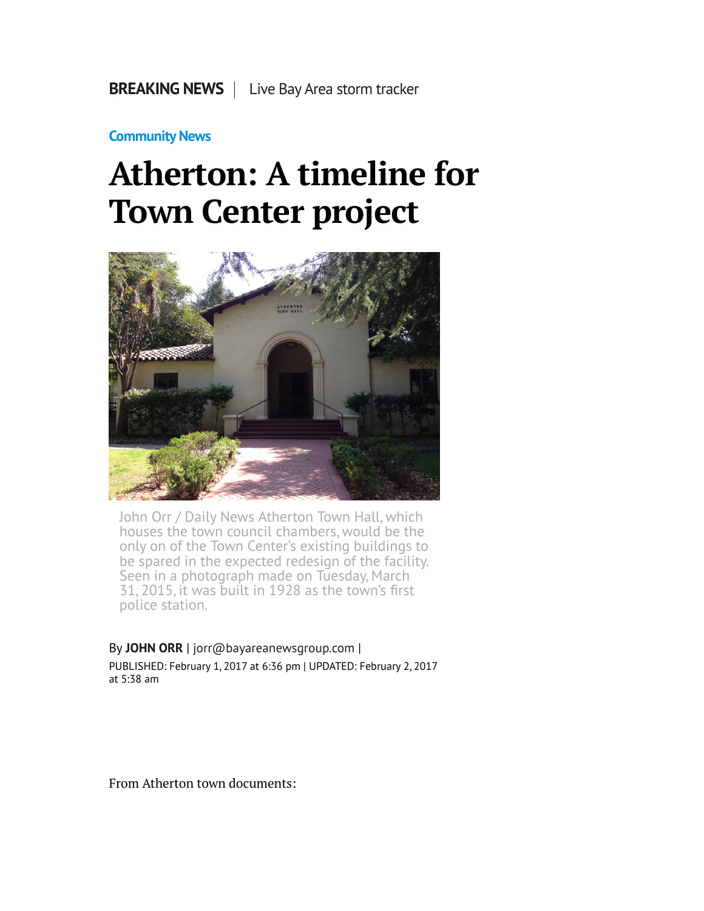## **[Community News](http://www.mercurynews.com/community-news/)**

## **Atherton: A timeline for Town Center project**



John Orr / Daily News Atherton Town Hall, which houses the town council chambers, would be the only on of the Town Center's existing buildings to be spared in the expected redesign of the facility. Seen in a photograph made on Tuesday, March 31, 2015, it was built in 1928 as the town's first police station.

By **[JOHN ORR](http://www.mercurynews.com/author/john-orr/)** | [jorr@bayareanewsgroup.com](mailto:jorr@bayareanewsgroup.com) | PUBLISHED: February 1, 2017 at 6:36 pm | UPDATED: February 2, 2017 at 5:38 am

From Atherton town documents: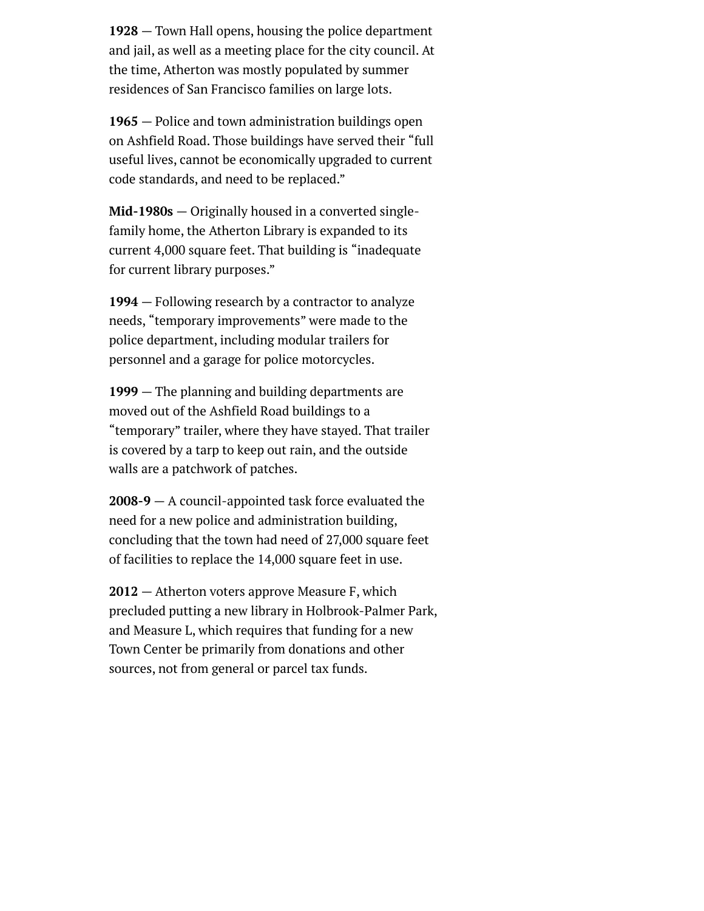**1928** — Town Hall opens, housing the police department and jail, as well as a meeting place for the city council. At the time, Atherton was mostly populated by summer residences of San Francisco families on large lots.

**1965** — Police and town administration buildings open on Ashfield Road. Those buildings have served their "full useful lives, cannot be economically upgraded to current code standards, and need to be replaced."

**Mid-1980s** — Originally housed in a converted singlefamily home, the Atherton Library is expanded to its current 4,000 square feet. That building is "inadequate for current library purposes."

**1994** — Following research by a contractor to analyze needs, "temporary improvements" were made to the police department, including modular trailers for personnel and a garage for police motorcycles.

**1999** — The planning and building departments are moved out of the Ashfield Road buildings to a "temporary" trailer, where they have stayed. That trailer is covered by a tarp to keep out rain, and the outside walls are a patchwork of patches.

**2008-9** — A council-appointed task force evaluated the need for a new police and administration building, concluding that the town had need of 27,000 square feet of facilities to replace the 14,000 square feet in use.

**2012** — Atherton voters approve Measure F, which precluded putting a new library in Holbrook-Palmer Park, and Measure L, which requires that funding for a new Town Center be primarily from donations and other sources, not from general or parcel tax funds.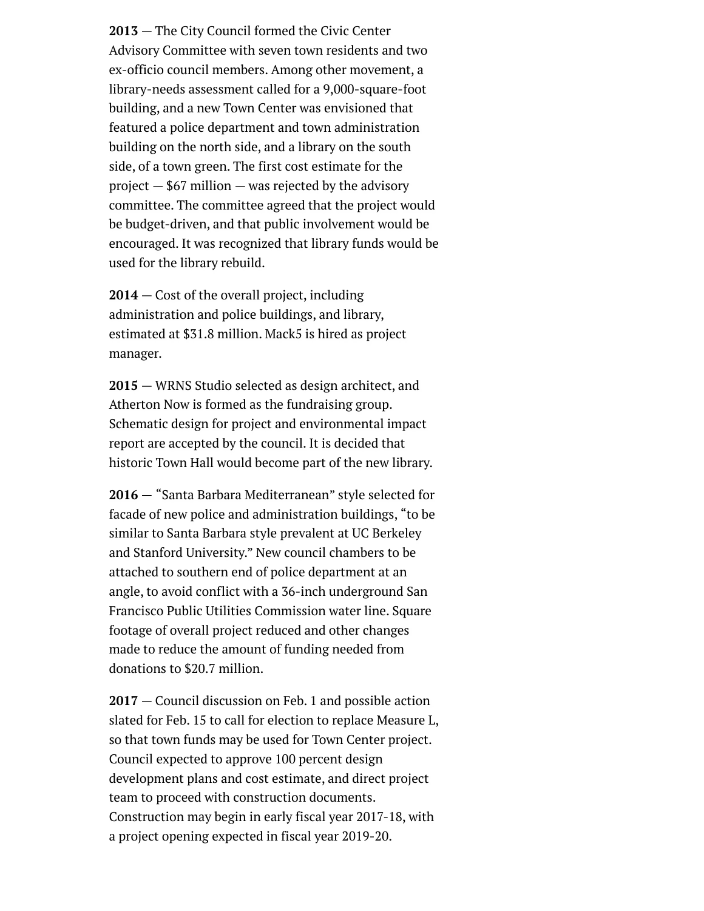**2013** — The City Council formed the Civic Center Advisory Committee with seven town residents and two ex-officio council members. Among other movement, a library-needs assessment called for a 9,000-square-foot building, and a new Town Center was envisioned that featured a police department and town administration building on the north side, and a library on the south side, of a town green. The first cost estimate for the project  $-$  \$67 million  $-$  was rejected by the advisory committee. The committee agreed that the project would be budget-driven, and that public involvement would be encouraged. It was recognized that library funds would be used for the library rebuild.

**2014** — Cost of the overall project, including administration and police buildings, and library, estimated at \$31.8 million. Mack5 is hired as project manager.

**2015** — WRNS Studio selected as design architect, and Atherton Now is formed as the fundraising group. Schematic design for project and environmental impact report are accepted by the council. It is decided that historic Town Hall would become part of the new library.

**2016 —** "Santa Barbara Mediterranean" style selected for facade of new police and administration buildings, "to be similar to Santa Barbara style prevalent at UC Berkeley and Stanford University." New council chambers to be attached to southern end of police department at an angle, to avoid conflict with a 36-inch underground San Francisco Public Utilities Commission water line. Square footage of overall project reduced and other changes made to reduce the amount of funding needed from donations to \$20.7 million.

**2017** — Council discussion on Feb. 1 and possible action slated for Feb. 15 to call for election to replace Measure L, so that town funds may be used for Town Center project. Council expected to approve 100 percent design development plans and cost estimate, and direct project team to proceed with construction documents. Construction may begin in early fiscal year 2017-18, with a project opening expected in fiscal year 2019-20.